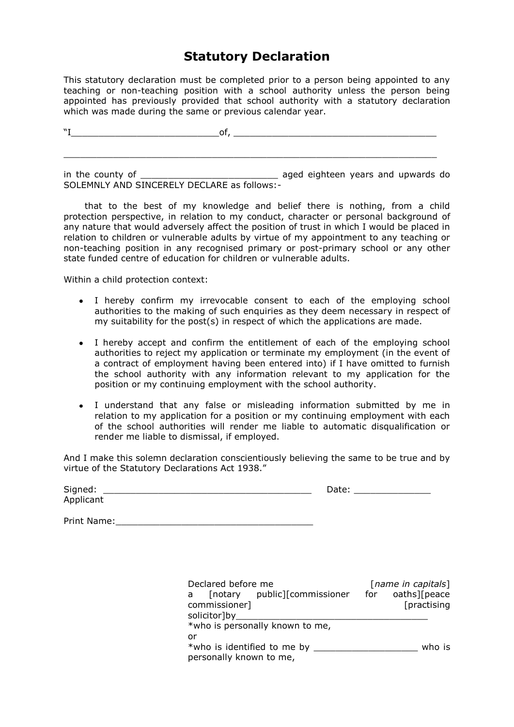# **Statutory Declaration**

This statutory declaration must be completed prior to a person being appointed to any teaching or non-teaching position with a school authority unless the person being appointed has previously provided that school authority with a statutory declaration which was made during the same or previous calendar year.

 $\mathbb{C}^r$  of,

 $\_$  , and the set of the set of the set of the set of the set of the set of the set of the set of the set of the set of the set of the set of the set of the set of the set of the set of the set of the set of the set of th

in the county of the county of the county of the county of the country of the country of the country aged eighteen years and upwards do SOLEMNLY AND SINCERELY DECLARE as follows:-

 that to the best of my knowledge and belief there is nothing, from a child protection perspective, in relation to my conduct, character or personal background of any nature that would adversely affect the position of trust in which I would be placed in relation to children or vulnerable adults by virtue of my appointment to any teaching or non-teaching position in any recognised primary or post-primary school or any other state funded centre of education for children or vulnerable adults.

Within a child protection context:

- I hereby confirm my irrevocable consent to each of the employing school authorities to the making of such enquiries as they deem necessary in respect of my suitability for the post(s) in respect of which the applications are made.
- I hereby accept and confirm the entitlement of each of the employing school authorities to reject my application or terminate my employment (in the event of a contract of employment having been entered into) if I have omitted to furnish the school authority with any information relevant to my application for the position or my continuing employment with the school authority.
- I understand that any false or misleading information submitted by me in relation to my application for a position or my continuing employment with each of the school authorities will render me liable to automatic disqualification or render me liable to dismissal, if employed.

And I make this solemn declaration conscientiously believing the same to be true and by virtue of the Statutory Declarations Act 1938."

| Signed:   | Date: |
|-----------|-------|
| Applicant |       |

Print Name:\_\_\_\_\_\_\_\_\_\_\_\_\_\_\_\_\_\_\_\_\_\_\_\_\_\_\_\_\_\_\_\_\_\_\_\_

| Declared before me                                                      | [name in capitals]          |
|-------------------------------------------------------------------------|-----------------------------|
| [notary public][commissioner for<br>a<br>commissioner]<br>solicitor]by_ | oaths][peace<br>[practising |
| *who is personally known to me,                                         |                             |
| or                                                                      |                             |
| *who is identified to me by<br>personally known to me,                  | who is                      |